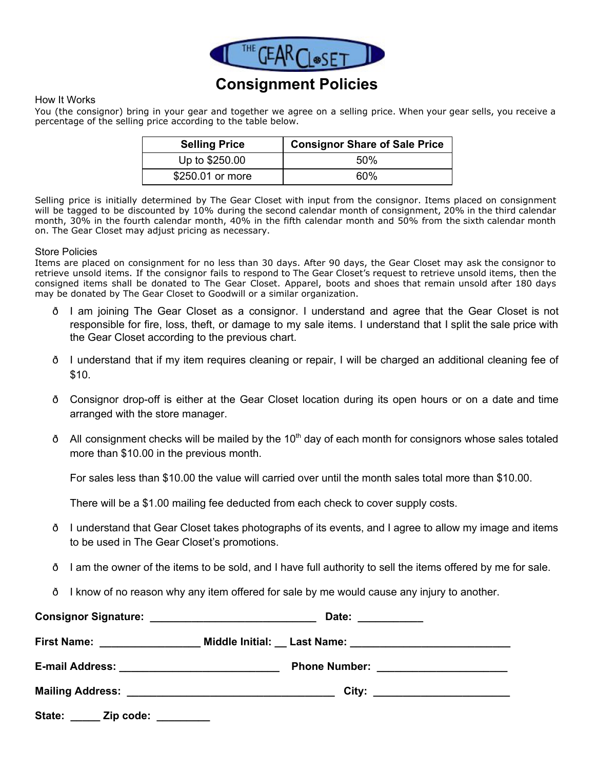

## **Consignment Policies**

## How It Works

You (the consignor) bring in your gear and together we agree on a selling price. When your gear sells, you receive a percentage of the selling price according to the table below.

| <b>Selling Price</b> | <b>Consignor Share of Sale Price</b> |  |  |
|----------------------|--------------------------------------|--|--|
| Up to \$250.00       | 50%                                  |  |  |
| \$250.01 or more     | 60%                                  |  |  |

Selling price is initially determined by The Gear Closet with input from the consignor. Items placed on consignment will be tagged to be discounted by 10% during the second calendar month of consignment, 20% in the third calendar month, 30% in the fourth calendar month, 40% in the fifth calendar month and 50% from the sixth calendar month on. The Gear Closet may adjust pricing as necessary.

## Store Policies

Items are placed on consignment for no less than 30 days. After 90 days, the Gear Closet may ask the consignor to retrieve unsold items. If the consignor fails to respond to The Gear Closet's request to retrieve unsold items, then the consigned items shall be donated to The Gear Closet. Apparel, boots and shoes that remain unsold after 180 days may be donated by The Gear Closet to Goodwill or a similar organization.

- ð I am joining The Gear Closet as a consignor. I understand and agree that the Gear Closet is not responsible for fire, loss, theft, or damage to my sale items. I understand that I split the sale price with the Gear Closet according to the previous chart.
- ð I understand that if my item requires cleaning or repair, I will be charged an additional cleaning fee of \$10.
- $\delta$  Consignor drop-off is either at the Gear Closet location during its open hours or on a date and time arranged with the store manager.
- ð All consignment checks will be mailed by the 10<sup>th</sup> day of each month for consignors whose sales totaled more than \$10.00 in the previous month.

For sales less than \$10.00 the value will carried over until the month sales total more than \$10.00.

There will be a \$1.00 mailing fee deducted from each check to cover supply costs.

- ð I understand that Gear Closet takes photographs of its events, and I agree to allow my image and items to be used in The Gear Closet's promotions.
- ð I am the owner of the items to be sold, and I have full authority to sell the items offered by me for sale.
- ð I know of no reason why any item offered for sale by me would cause any injury to another.

|                                | Date: __________                       |  |
|--------------------------------|----------------------------------------|--|
| First Name: __________________ |                                        |  |
|                                | Phone Number: ________________________ |  |
|                                | City: _________________________        |  |
| State:<br>_ Zip code:          |                                        |  |